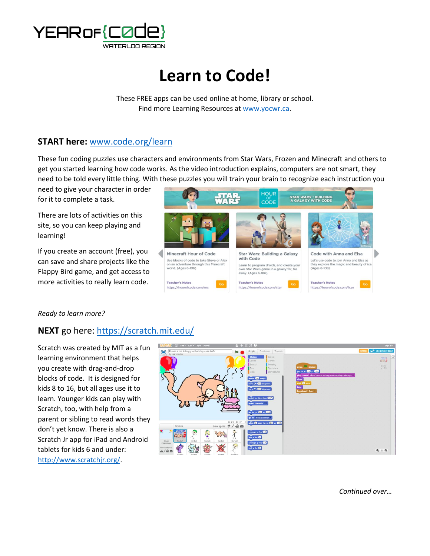

# **Learn to Code!**

These FREE apps can be used online at home, library or school. Find more Learning Resources at [www.yocwr.ca.](http://www.yocwr.ca/)

#### **START here:** [www.code.org/learn](http://www.code.org/learn)

These fun coding puzzles use characters and environments from Star Wars, Frozen and Minecraft and others to get you started learning how code works. As the video introduction explains, computers are not smart, they need to be told every little thing. With these puzzles you will train your brain to recognize each instruction you

need to give your character in order for it to complete a task.

There are lots of activities on this site, so you can keep playing and learning!

If you create an account (free), you can save and share projects like the Flappy Bird game, and get access to more activities to really learn code.



#### *Ready to learn more?*

### **NEXT** go here:<https://scratch.mit.edu/>

Scratch was created by MIT as a fun learning environment that helps you create with drag-and-drop blocks of code. It is designed for kids 8 to 16, but all ages use it to learn. Younger kids can play with Scratch, too, with help from a parent or sibling to read words they don't yet know. There is also a Scratch Jr app for iPad and Android tablets for kids 6 and under: [http://www.scratchjr.org/.](http://www.scratchjr.org/)



*Continued over…*